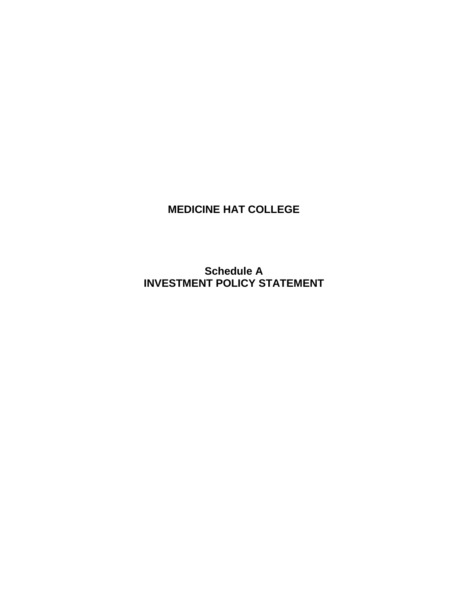# **MEDICINE HAT COLLEGE**

**Schedule A INVESTMENT POLICY STATEMENT**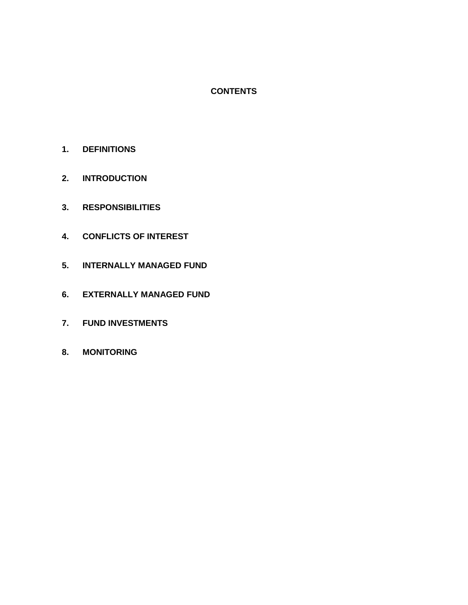# **CONTENTS**

- **1. DEFINITIONS**
- **2. INTRODUCTION**
- **3. RESPONSIBILITIES**
- **4. CONFLICTS OF INTEREST**
- **5. INTERNALLY MANAGED FUND**
- **6. EXTERNALLY MANAGED FUND**
- **7. FUND INVESTMENTS**
- **8. MONITORING**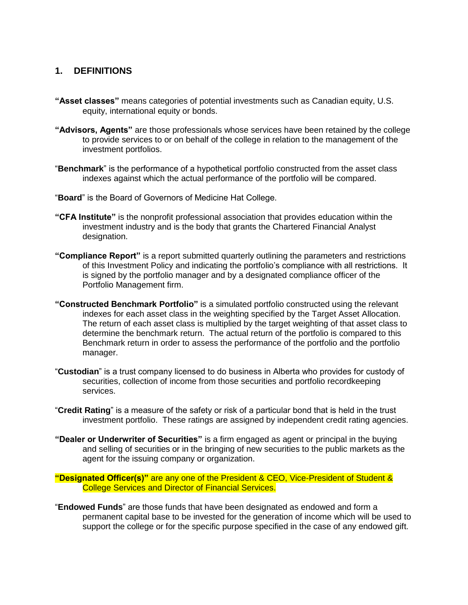# **1. DEFINITIONS**

- **"Asset classes"** means categories of potential investments such as Canadian equity, U.S. equity, international equity or bonds.
- **"Advisors, Agents"** are those professionals whose services have been retained by the college to provide services to or on behalf of the college in relation to the management of the investment portfolios.
- "**Benchmark**" is the performance of a hypothetical portfolio constructed from the asset class indexes against which the actual performance of the portfolio will be compared.
- "**Board**" is the Board of Governors of Medicine Hat College.
- **"CFA Institute"** is the nonprofit professional association that provides education within the investment industry and is the body that grants the Chartered Financial Analyst designation.
- **"Compliance Report"** is a report submitted quarterly outlining the parameters and restrictions of this Investment Policy and indicating the portfolio's compliance with all restrictions. It is signed by the portfolio manager and by a designated compliance officer of the Portfolio Management firm.
- **"Constructed Benchmark Portfolio"** is a simulated portfolio constructed using the relevant indexes for each asset class in the weighting specified by the Target Asset Allocation. The return of each asset class is multiplied by the target weighting of that asset class to determine the benchmark return. The actual return of the portfolio is compared to this Benchmark return in order to assess the performance of the portfolio and the portfolio manager.
- "**Custodian**" is a trust company licensed to do business in Alberta who provides for custody of securities, collection of income from those securities and portfolio recordkeeping services.
- "**Credit Rating**" is a measure of the safety or risk of a particular bond that is held in the trust investment portfolio. These ratings are assigned by independent credit rating agencies.
- **"Dealer or Underwriter of Securities"** is a firm engaged as agent or principal in the buying and selling of securities or in the bringing of new securities to the public markets as the agent for the issuing company or organization.

**"Designated Officer(s)"** are any one of the President & CEO, Vice-President of Student & College Services and Director of Financial Services.

"**Endowed Funds**" are those funds that have been designated as endowed and form a permanent capital base to be invested for the generation of income which will be used to support the college or for the specific purpose specified in the case of any endowed gift.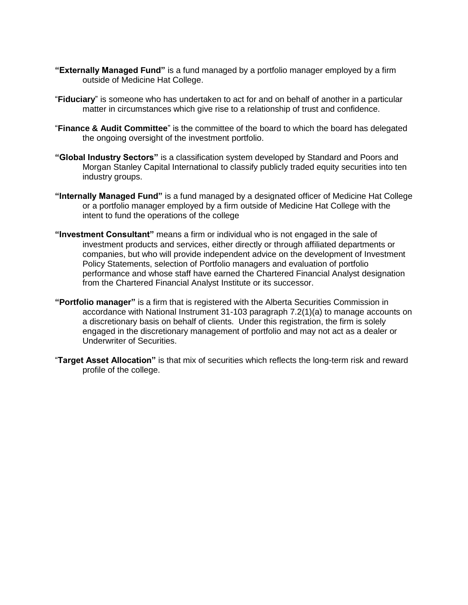- **"Externally Managed Fund"** is a fund managed by a portfolio manager employed by a firm outside of Medicine Hat College.
- "**Fiduciary**" is someone who has undertaken to act for and on behalf of another in a particular matter in circumstances which give rise to a relationship of trust and confidence.
- "**Finance & Audit Committee**" is the committee of the board to which the board has delegated the ongoing oversight of the investment portfolio.
- **"Global Industry Sectors"** is a classification system developed by Standard and Poors and Morgan Stanley Capital International to classify publicly traded equity securities into ten industry groups.
- **"Internally Managed Fund"** is a fund managed by a designated officer of Medicine Hat College or a portfolio manager employed by a firm outside of Medicine Hat College with the intent to fund the operations of the college
- **"Investment Consultant"** means a firm or individual who is not engaged in the sale of investment products and services, either directly or through affiliated departments or companies, but who will provide independent advice on the development of Investment Policy Statements, selection of Portfolio managers and evaluation of portfolio performance and whose staff have earned the Chartered Financial Analyst designation from the Chartered Financial Analyst Institute or its successor.
- **"Portfolio manager"** is a firm that is registered with the Alberta Securities Commission in accordance with National Instrument 31-103 paragraph 7.2(1)(a) to manage accounts on a discretionary basis on behalf of clients. Under this registration, the firm is solely engaged in the discretionary management of portfolio and may not act as a dealer or Underwriter of Securities.
- "**Target Asset Allocation"** is that mix of securities which reflects the long-term risk and reward profile of the college.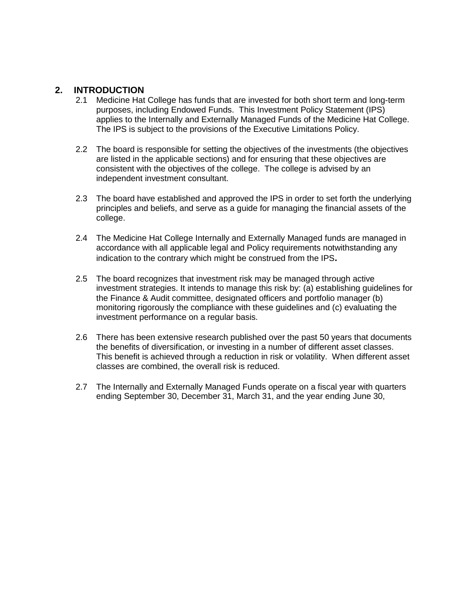# **2. INTRODUCTION**

- 2.1 Medicine Hat College has funds that are invested for both short term and long-term purposes, including Endowed Funds. This Investment Policy Statement (IPS) applies to the Internally and Externally Managed Funds of the Medicine Hat College. The IPS is subject to the provisions of the Executive Limitations Policy.
- 2.2 The board is responsible for setting the objectives of the investments (the objectives are listed in the applicable sections) and for ensuring that these objectives are consistent with the objectives of the college. The college is advised by an independent investment consultant.
- 2.3 The board have established and approved the IPS in order to set forth the underlying principles and beliefs, and serve as a guide for managing the financial assets of the college.
- 2.4 The Medicine Hat College Internally and Externally Managed funds are managed in accordance with all applicable legal and Policy requirements notwithstanding any indication to the contrary which might be construed from the IPS**.**
- 2.5 The board recognizes that investment risk may be managed through active investment strategies. It intends to manage this risk by: (a) establishing guidelines for the Finance & Audit committee, designated officers and portfolio manager (b) monitoring rigorously the compliance with these guidelines and (c) evaluating the investment performance on a regular basis.
- 2.6 There has been extensive research published over the past 50 years that documents the benefits of diversification, or investing in a number of different asset classes. This benefit is achieved through a reduction in risk or volatility. When different asset classes are combined, the overall risk is reduced.
- 2.7 The Internally and Externally Managed Funds operate on a fiscal year with quarters ending September 30, December 31, March 31, and the year ending June 30,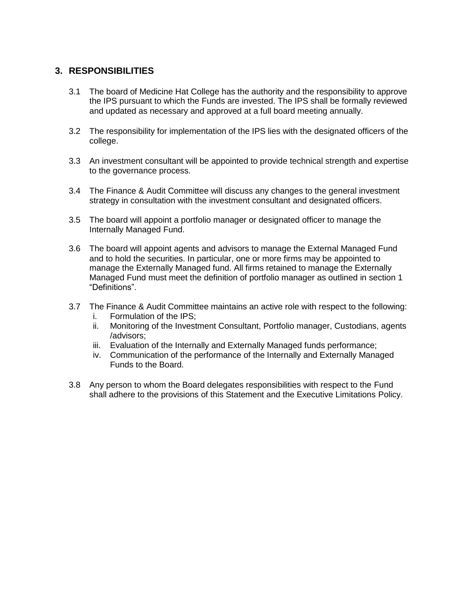# **3. RESPONSIBILITIES**

- 3.1 The board of Medicine Hat College has the authority and the responsibility to approve the IPS pursuant to which the Funds are invested. The IPS shall be formally reviewed and updated as necessary and approved at a full board meeting annually.
- 3.2 The responsibility for implementation of the IPS lies with the designated officers of the college.
- 3.3 An investment consultant will be appointed to provide technical strength and expertise to the governance process.
- 3.4 The Finance & Audit Committee will discuss any changes to the general investment strategy in consultation with the investment consultant and designated officers.
- 3.5 The board will appoint a portfolio manager or designated officer to manage the Internally Managed Fund.
- 3.6 The board will appoint agents and advisors to manage the External Managed Fund and to hold the securities. In particular, one or more firms may be appointed to manage the Externally Managed fund. All firms retained to manage the Externally Managed Fund must meet the definition of portfolio manager as outlined in section 1 "Definitions".
- 3.7 The Finance & Audit Committee maintains an active role with respect to the following:
	- i. Formulation of the IPS;<br>ii. Monitoring of the Investi
	- Monitoring of the Investment Consultant, Portfolio manager, Custodians, agents /advisors;
	- iii. Evaluation of the Internally and Externally Managed funds performance;
	- iv. Communication of the performance of the Internally and Externally Managed Funds to the Board.
- 3.8 Any person to whom the Board delegates responsibilities with respect to the Fund shall adhere to the provisions of this Statement and the Executive Limitations Policy.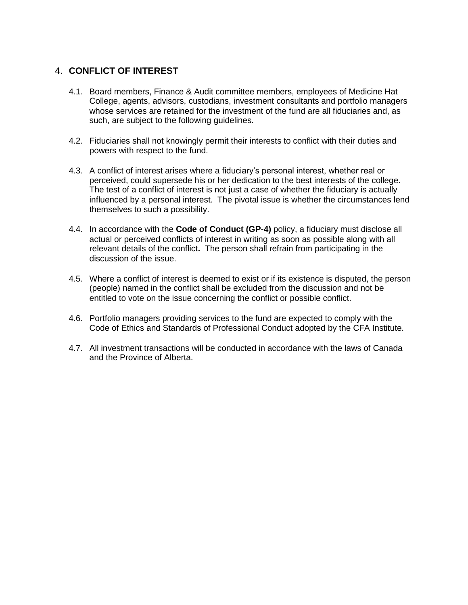# 4. **CONFLICT OF INTEREST**

- 4.1. Board members, Finance & Audit committee members, employees of Medicine Hat College, agents, advisors, custodians, investment consultants and portfolio managers whose services are retained for the investment of the fund are all fiduciaries and, as such, are subject to the following guidelines.
- 4.2. Fiduciaries shall not knowingly permit their interests to conflict with their duties and powers with respect to the fund.
- 4.3. A conflict of interest arises where a fiduciary's personal interest, whether real or perceived, could supersede his or her dedication to the best interests of the college. The test of a conflict of interest is not just a case of whether the fiduciary is actually influenced by a personal interest. The pivotal issue is whether the circumstances lend themselves to such a possibility.
- 4.4. In accordance with the **Code of Conduct (GP-4)** policy, a fiduciary must disclose all actual or perceived conflicts of interest in writing as soon as possible along with all relevant details of the conflict**.** The person shall refrain from participating in the discussion of the issue.
- 4.5. Where a conflict of interest is deemed to exist or if its existence is disputed, the person (people) named in the conflict shall be excluded from the discussion and not be entitled to vote on the issue concerning the conflict or possible conflict.
- 4.6. Portfolio managers providing services to the fund are expected to comply with the Code of Ethics and Standards of Professional Conduct adopted by the CFA Institute.
- 4.7. All investment transactions will be conducted in accordance with the laws of Canada and the Province of Alberta.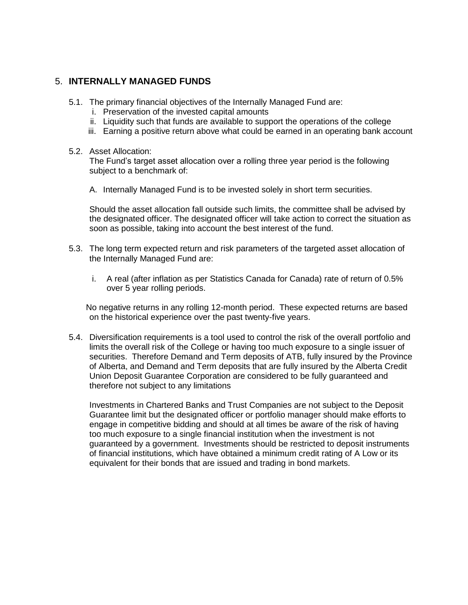# 5. **INTERNALLY MANAGED FUNDS**

- 5.1. The primary financial objectives of the Internally Managed Fund are:
	- i. Preservation of the invested capital amounts
	- ii. Liquidity such that funds are available to support the operations of the college
	- iii. Earning a positive return above what could be earned in an operating bank account

#### 5.2. Asset Allocation:

The Fund's target asset allocation over a rolling three year period is the following subject to a benchmark of:

A. Internally Managed Fund is to be invested solely in short term securities.

Should the asset allocation fall outside such limits, the committee shall be advised by the designated officer. The designated officer will take action to correct the situation as soon as possible, taking into account the best interest of the fund.

- 5.3. The long term expected return and risk parameters of the targeted asset allocation of the Internally Managed Fund are:
	- i. A real (after inflation as per Statistics Canada for Canada) rate of return of 0.5% over 5 year rolling periods.

No negative returns in any rolling 12-month period. These expected returns are based on the historical experience over the past twenty-five years.

5.4. Diversification requirements is a tool used to control the risk of the overall portfolio and limits the overall risk of the College or having too much exposure to a single issuer of securities. Therefore Demand and Term deposits of ATB, fully insured by the Province of Alberta, and Demand and Term deposits that are fully insured by the Alberta Credit Union Deposit Guarantee Corporation are considered to be fully guaranteed and therefore not subject to any limitations

Investments in Chartered Banks and Trust Companies are not subject to the Deposit Guarantee limit but the designated officer or portfolio manager should make efforts to engage in competitive bidding and should at all times be aware of the risk of having too much exposure to a single financial institution when the investment is not guaranteed by a government. Investments should be restricted to deposit instruments of financial institutions, which have obtained a minimum credit rating of A Low or its equivalent for their bonds that are issued and trading in bond markets.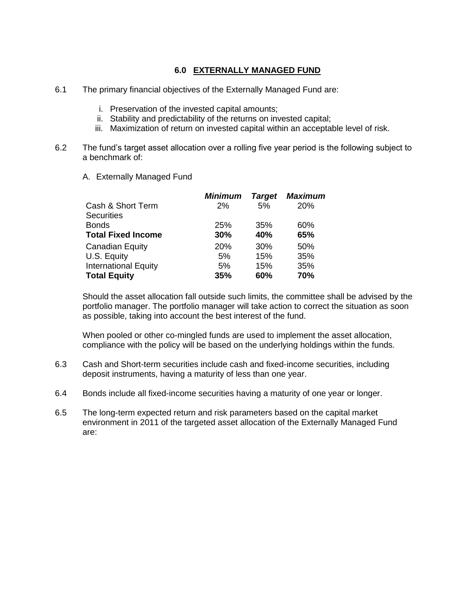#### **6.0 EXTERNALLY MANAGED FUND**

- 6.1 The primary financial objectives of the Externally Managed Fund are:
	- i. Preservation of the invested capital amounts;
	- ii. Stability and predictability of the returns on invested capital;
	- iii. Maximization of return on invested capital within an acceptable level of risk.
- 6.2 The fund's target asset allocation over a rolling five year period is the following subject to a benchmark of:
	- A. Externally Managed Fund

|                             | <b>Minimum</b> | <b>Target</b> | Maximum |
|-----------------------------|----------------|---------------|---------|
| Cash & Short Term           | 2%             | 5%            | 20%     |
| <b>Securities</b>           |                |               |         |
| <b>Bonds</b>                | 25%            | 35%           | 60%     |
| <b>Total Fixed Income</b>   | 30%            | 40%           | 65%     |
| Canadian Equity             | 20%            | 30%           | 50%     |
| U.S. Equity                 | 5%             | 15%           | 35%     |
| <b>International Equity</b> | 5%             | 15%           | 35%     |
| <b>Total Equity</b>         | 35%            | 60%           | 70%     |

Should the asset allocation fall outside such limits, the committee shall be advised by the portfolio manager. The portfolio manager will take action to correct the situation as soon as possible, taking into account the best interest of the fund.

When pooled or other co-mingled funds are used to implement the asset allocation, compliance with the policy will be based on the underlying holdings within the funds.

- 6.3 Cash and Short-term securities include cash and fixed-income securities, including deposit instruments, having a maturity of less than one year.
- 6.4 Bonds include all fixed-income securities having a maturity of one year or longer.
- 6.5 The long-term expected return and risk parameters based on the capital market environment in 2011 of the targeted asset allocation of the Externally Managed Fund are: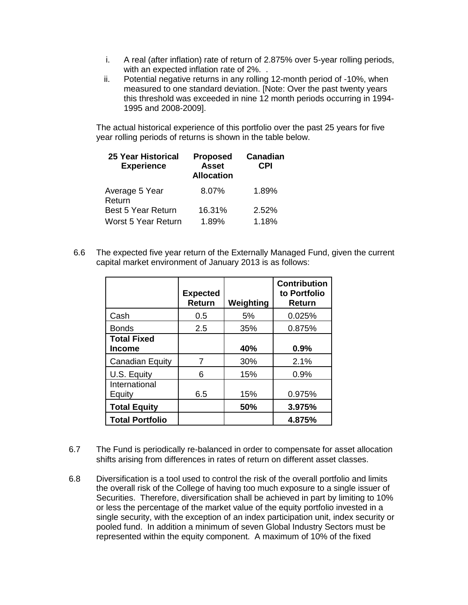- i. A real (after inflation) rate of return of 2.875% over 5-year rolling periods, with an expected inflation rate of 2%...
- ii. Potential negative returns in any rolling 12-month period of -10%, when measured to one standard deviation. [Note: Over the past twenty years this threshold was exceeded in nine 12 month periods occurring in 1994- 1995 and 2008-2009].

The actual historical experience of this portfolio over the past 25 years for five year rolling periods of returns is shown in the table below.

| <b>25 Year Historical</b><br><b>Experience</b> | <b>Proposed</b><br><b>Asset</b><br><b>Allocation</b> | Canadian<br><b>CPI</b> |
|------------------------------------------------|------------------------------------------------------|------------------------|
| Average 5 Year<br>Return                       | 8.07%                                                | 1.89%                  |
| <b>Best 5 Year Return</b>                      | 16.31%                                               | 2.52%                  |
| Worst 5 Year Return                            | 1.89%                                                | 1.18%                  |

 6.6 The expected five year return of the Externally Managed Fund, given the current capital market environment of January 2013 is as follows:

|                                     | <b>Expected</b><br><b>Return</b> | Weighting | <b>Contribution</b><br>to Portfolio<br><b>Return</b> |
|-------------------------------------|----------------------------------|-----------|------------------------------------------------------|
| Cash                                | 0.5                              | 5%        | 0.025%                                               |
| <b>Bonds</b>                        | 2.5                              | 35%       | 0.875%                                               |
| <b>Total Fixed</b><br><b>Income</b> |                                  | 40%       | 0.9%                                                 |
| <b>Canadian Equity</b>              |                                  | 30%       | 2.1%                                                 |
| U.S. Equity                         | 6                                | 15%       | 0.9%                                                 |
| International<br>Equity             | 6.5                              | 15%       | 0.975%                                               |
| <b>Total Equity</b>                 |                                  | 50%       | 3.975%                                               |
| <b>Total Portfolio</b>              |                                  |           | 4.875%                                               |

- 6.7 The Fund is periodically re-balanced in order to compensate for asset allocation shifts arising from differences in rates of return on different asset classes.
- 6.8 Diversification is a tool used to control the risk of the overall portfolio and limits the overall risk of the College of having too much exposure to a single issuer of Securities. Therefore, diversification shall be achieved in part by limiting to 10% or less the percentage of the market value of the equity portfolio invested in a single security, with the exception of an index participation unit, index security or pooled fund. In addition a minimum of seven Global Industry Sectors must be represented within the equity component. A maximum of 10% of the fixed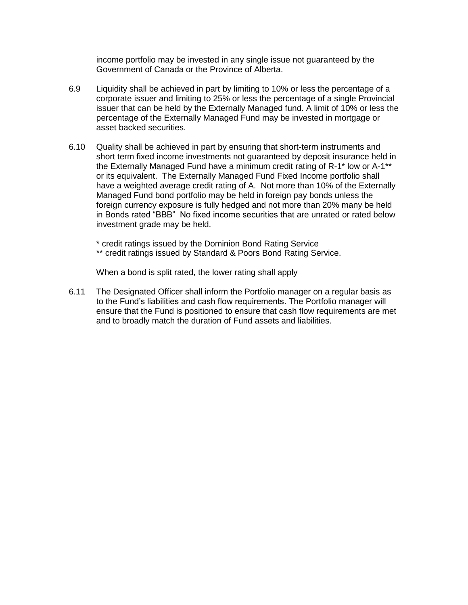income portfolio may be invested in any single issue not guaranteed by the Government of Canada or the Province of Alberta.

- 6.9 Liquidity shall be achieved in part by limiting to 10% or less the percentage of a corporate issuer and limiting to 25% or less the percentage of a single Provincial issuer that can be held by the Externally Managed fund. A limit of 10% or less the percentage of the Externally Managed Fund may be invested in mortgage or asset backed securities.
- 6.10 Quality shall be achieved in part by ensuring that short-term instruments and short term fixed income investments not guaranteed by deposit insurance held in the Externally Managed Fund have a minimum credit rating of R-1\* low or A-1\*\* or its equivalent. The Externally Managed Fund Fixed Income portfolio shall have a weighted average credit rating of A. Not more than 10% of the Externally Managed Fund bond portfolio may be held in foreign pay bonds unless the foreign currency exposure is fully hedged and not more than 20% many be held in Bonds rated "BBB" No fixed income securities that are unrated or rated below investment grade may be held.

\* credit ratings issued by the Dominion Bond Rating Service \*\* credit ratings issued by Standard & Poors Bond Rating Service.

When a bond is split rated, the lower rating shall apply

6.11 The Designated Officer shall inform the Portfolio manager on a regular basis as to the Fund's liabilities and cash flow requirements. The Portfolio manager will ensure that the Fund is positioned to ensure that cash flow requirements are met and to broadly match the duration of Fund assets and liabilities.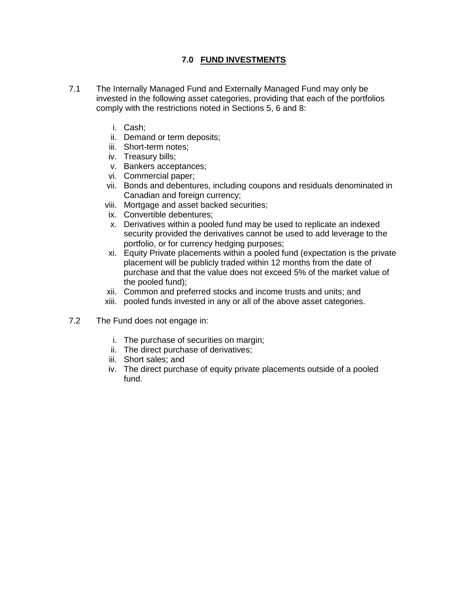# **7.0 FUND INVESTMENTS**

- 7.1 The Internally Managed Fund and Externally Managed Fund may only be invested in the following asset categories, providing that each of the portfolios comply with the restrictions noted in Sections 5, 6 and 8:
	- i. Cash;
	- ii. Demand or term deposits;
	- iii. Short-term notes;
	- iv. Treasury bills;
	- v. Bankers acceptances;
	- vi. Commercial paper;
	- vii. Bonds and debentures, including coupons and residuals denominated in Canadian and foreign currency;
	- viii. Mortgage and asset backed securities;
	- ix. Convertible debentures;
	- x. Derivatives within a pooled fund may be used to replicate an indexed security provided the derivatives cannot be used to add leverage to the portfolio, or for currency hedging purposes;
	- xi. Equity Private placements within a pooled fund (expectation is the private placement will be publicly traded within 12 months from the date of purchase and that the value does not exceed 5% of the market value of the pooled fund);
	- xii. Common and preferred stocks and income trusts and units; and
	- xiii. pooled funds invested in any or all of the above asset categories.
- 7.2 The Fund does not engage in:
	- i. The purchase of securities on margin;
	- ii. The direct purchase of derivatives;
	- iii. Short sales; and
	- iv. The direct purchase of equity private placements outside of a pooled fund.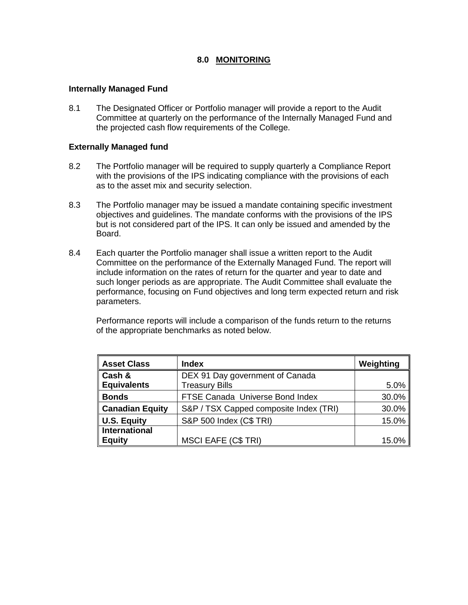# **8.0 MONITORING**

#### **Internally Managed Fund**

8.1 The Designated Officer or Portfolio manager will provide a report to the Audit Committee at quarterly on the performance of the Internally Managed Fund and the projected cash flow requirements of the College.

#### **Externally Managed fund**

- 8.2 The Portfolio manager will be required to supply quarterly a Compliance Report with the provisions of the IPS indicating compliance with the provisions of each as to the asset mix and security selection.
- 8.3 The Portfolio manager may be issued a mandate containing specific investment objectives and guidelines. The mandate conforms with the provisions of the IPS but is not considered part of the IPS. It can only be issued and amended by the Board.
- 8.4 Each quarter the Portfolio manager shall issue a written report to the Audit Committee on the performance of the Externally Managed Fund. The report will include information on the rates of return for the quarter and year to date and such longer periods as are appropriate. The Audit Committee shall evaluate the performance, focusing on Fund objectives and long term expected return and risk parameters.

Performance reports will include a comparison of the funds return to the returns of the appropriate benchmarks as noted below.

| <b>Asset Class</b>     | Index                                  | Weighting |
|------------------------|----------------------------------------|-----------|
| Cash &                 | DEX 91 Day government of Canada        |           |
| <b>Equivalents</b>     | <b>Treasury Bills</b>                  | $5.0\%$   |
| <b>Bonds</b>           | FTSE Canada Universe Bond Index        | 30.0%     |
| <b>Canadian Equity</b> | S&P / TSX Capped composite Index (TRI) | 30.0%     |
| <b>U.S. Equity</b>     | S&P 500 Index (C\$ TRI)                | 15.0%     |
| International          |                                        |           |
| <b>Equity</b>          | <b>MSCI EAFE (C\$ TRI)</b>             | 15.0%     |